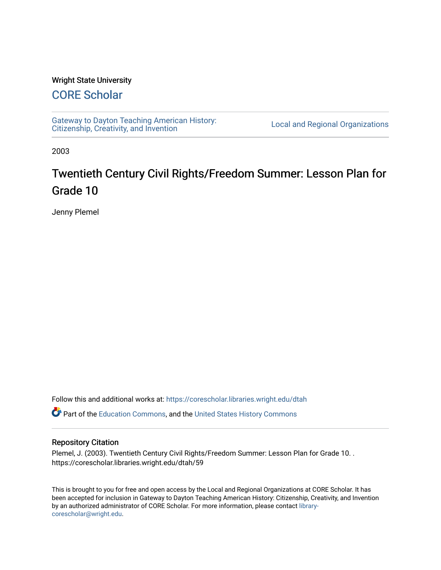#### Wright State University

# [CORE Scholar](https://corescholar.libraries.wright.edu/)

[Gateway to Dayton Teaching American History:](https://corescholar.libraries.wright.edu/dtah)  Gateway to Dayton Teaching American History.<br>[Citizenship, Creativity, and Invention](https://corescholar.libraries.wright.edu/dtah) Listory Local and Regional Organizations

2003

# Twentieth Century Civil Rights/Freedom Summer: Lesson Plan for Grade 10

Jenny Plemel

Follow this and additional works at: [https://corescholar.libraries.wright.edu/dtah](https://corescholar.libraries.wright.edu/dtah?utm_source=corescholar.libraries.wright.edu%2Fdtah%2F59&utm_medium=PDF&utm_campaign=PDFCoverPages)

**C**<sup> $\bullet$ </sup> Part of the [Education Commons](http://network.bepress.com/hgg/discipline/784?utm_source=corescholar.libraries.wright.edu%2Fdtah%2F59&utm_medium=PDF&utm_campaign=PDFCoverPages), and the United States History Commons

#### Repository Citation

Plemel, J. (2003). Twentieth Century Civil Rights/Freedom Summer: Lesson Plan for Grade 10. . https://corescholar.libraries.wright.edu/dtah/59

This is brought to you for free and open access by the Local and Regional Organizations at CORE Scholar. It has been accepted for inclusion in Gateway to Dayton Teaching American History: Citizenship, Creativity, and Invention by an authorized administrator of CORE Scholar. For more information, please contact [library](mailto:library-corescholar@wright.edu)[corescholar@wright.edu](mailto:library-corescholar@wright.edu).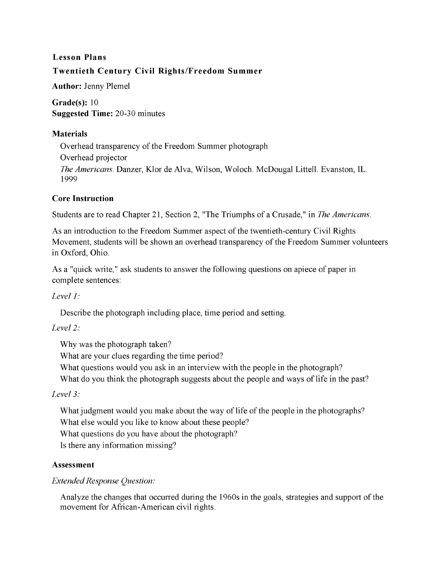# **Lesson Plans Twentieth Century Civil Rights/Freedom Summer**

**Author:** Jenny Plemel

**Grade(s):** 10 **Suggested Time:** 20-30 minutes

#### **Materials**

Overhead transparency of the Freedom Summer photograph Overhead projector *The Americans.* Danzer, Klor de Alva, Wilson, Woloch. McDougal Littell. Evanston, **IL.** 1999

#### **Core Instruction**

Students are to read Chapter 21, Section 2, "The Triumphs of a Crusade," in *The Americans.* 

As an introduction to the Freedom Summer aspect of the twentieth-century Civil Rights Movement, students will be shown an overhead transparency of the Freedom Summer volunteers in Oxford, Ohio.

As a "quick write," ask students to answer the following questions on apiece of paper in complete sentences:

# *Level 1:*

Describe the photograph including place, time period and setting.

# *Level* 2:

Why was the photograph taken?

What are your clues regarding the time period?

What questions would you ask in an interview with the people in the photograph?

What do you think the photograph suggests about the people and ways of life in the past?

# *Level* 3:

What judgment would you make about the way of life of the people in the photographs? What else would you like to know about these people?

What questions do you have about the photograph?

Is there any information missing?

# **Assessment**

# *Extended Response Question:*

Analyze the changes that occurred during the 1960s in the goals, strategies and support of the movement for African-American civil rights.